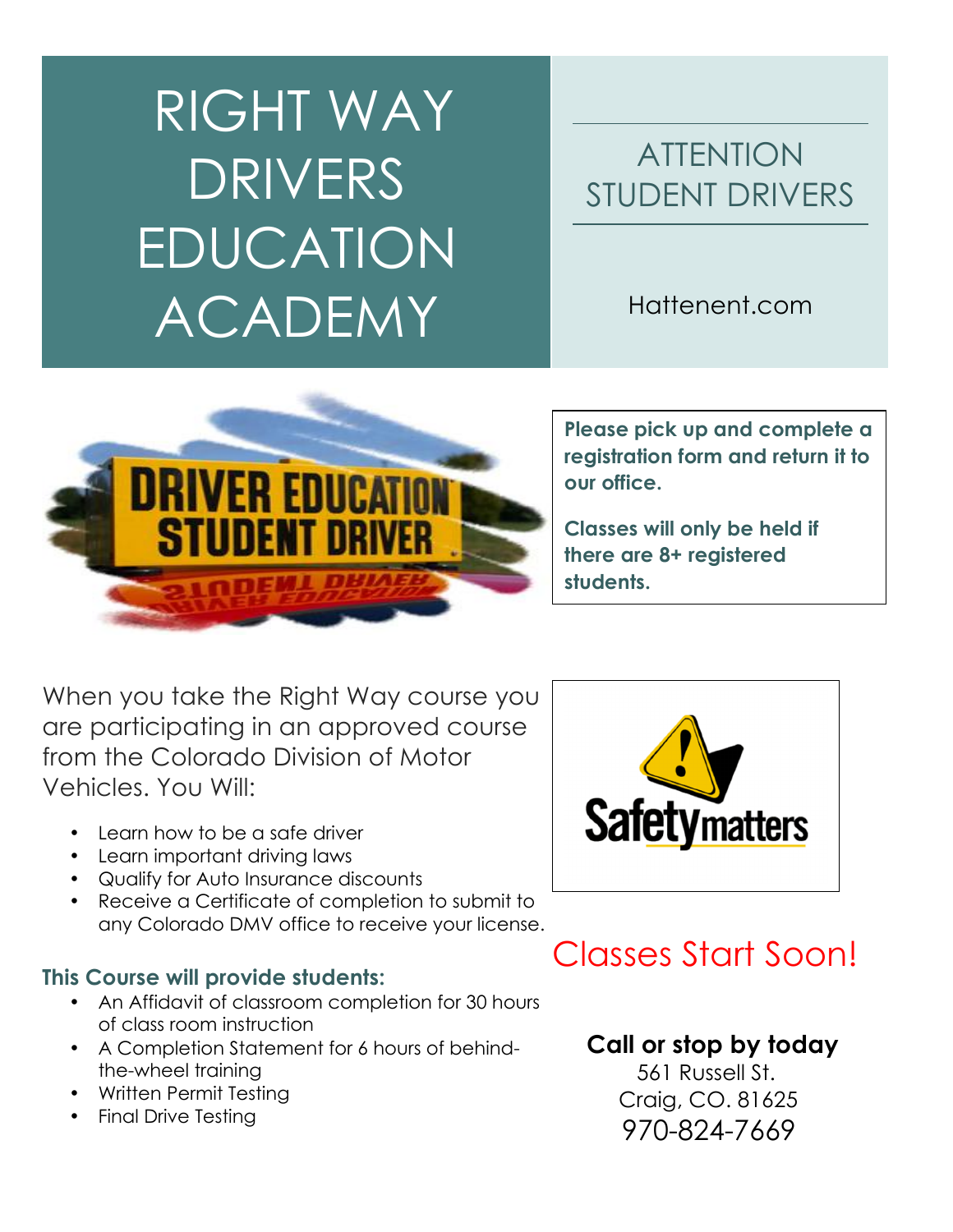# RIGHT WAY DRIVERS EDUCATION ACADEMY

## ATTENTION STUDENT DRIVERS

Hattenent.com



**Please pick up and complete a registration form and return it to our office.** 

**Classes will only be held if there are 8+ registered students.**

When you take the Right Way course you are participating in an approved course from the Colorado Division of Motor Vehicles. You Will:

- Learn how to be a safe driver
- Learn important driving laws
- Qualify for Auto Insurance discounts
- Receive a Certificate of completion to submit to any Colorado DMV office to receive your license.

## **This Course will provide students:**

- An Affidavit of classroom completion for 30 hours of class room instruction
- A Completion Statement for 6 hours of behindthe-wheel training
- Written Permit Testing
- Final Drive Testing



# Classes Start Soon!

## **Call or stop by today**

 561 Russell St. Craig, CO. 81625 970-824-7669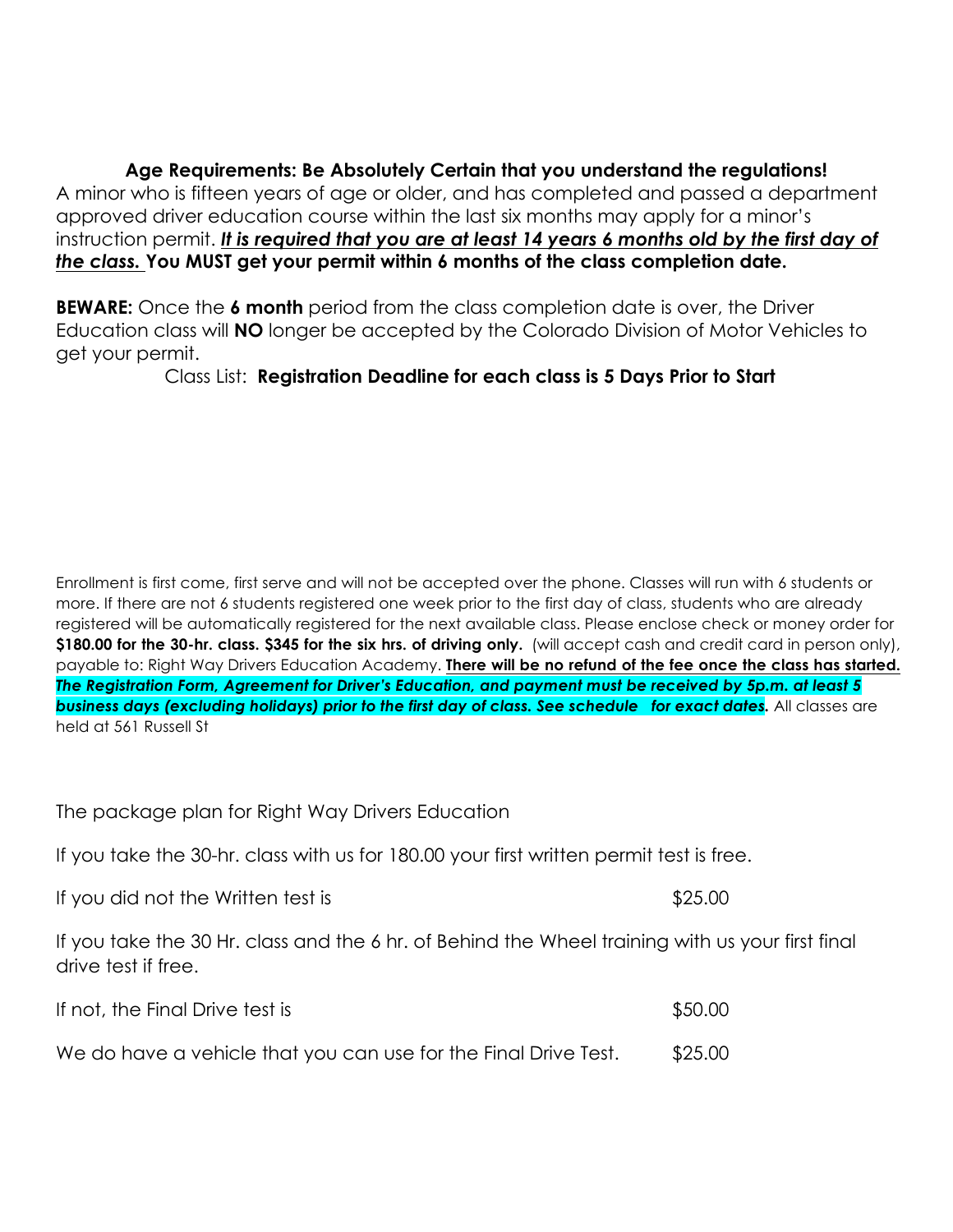**Age Requirements: Be Absolutely Certain that you understand the regulations!** A minor who is fifteen years of age or older, and has completed and passed a department approved driver education course within the last six months may apply for a minor's instruction permit. *It is required that you are at least 14 years 6 months old by the first day of the class.* **You MUST get your permit within 6 months of the class completion date.** 

**BEWARE:** Once the 6 month period from the class completion date is over, the Driver Education class will **NO** longer be accepted by the Colorado Division of Motor Vehicles to get your permit.

Class List: **Registration Deadline for each class is 5 Days Prior to Start**

Enrollment is first come, first serve and will not be accepted over the phone. Classes will run with 6 students or more. If there are not 6 students registered one week prior to the first day of class, students who are already registered will be automatically registered for the next available class. Please enclose check or money order for **\$180.00 for the 30-hr. class. \$345 for the six hrs. of driving only.** (will accept cash and credit card in person only), payable to: Right Way Drivers Education Academy. **There will be no refund of the fee once the class has started.** *The Registration Form, Agreement for Driver's Education, and payment must be received by 5p.m. at least 5 business days (excluding holidays) prior to the first day of class. See schedule for exact dates.* All classes are held at 561 Russell St

The package plan for Right Way Drivers Education

If you take the 30-hr. class with us for 180.00 your first written permit test is free.

If you did not the Written test is  $$25.00$ 

If you take the 30 Hr. class and the 6 hr. of Behind the Wheel training with us your first final drive test if free.

| If not, the Final Drive test is                                 | \$50.00 |
|-----------------------------------------------------------------|---------|
| We do have a vehicle that you can use for the Final Drive Test. | \$25.00 |